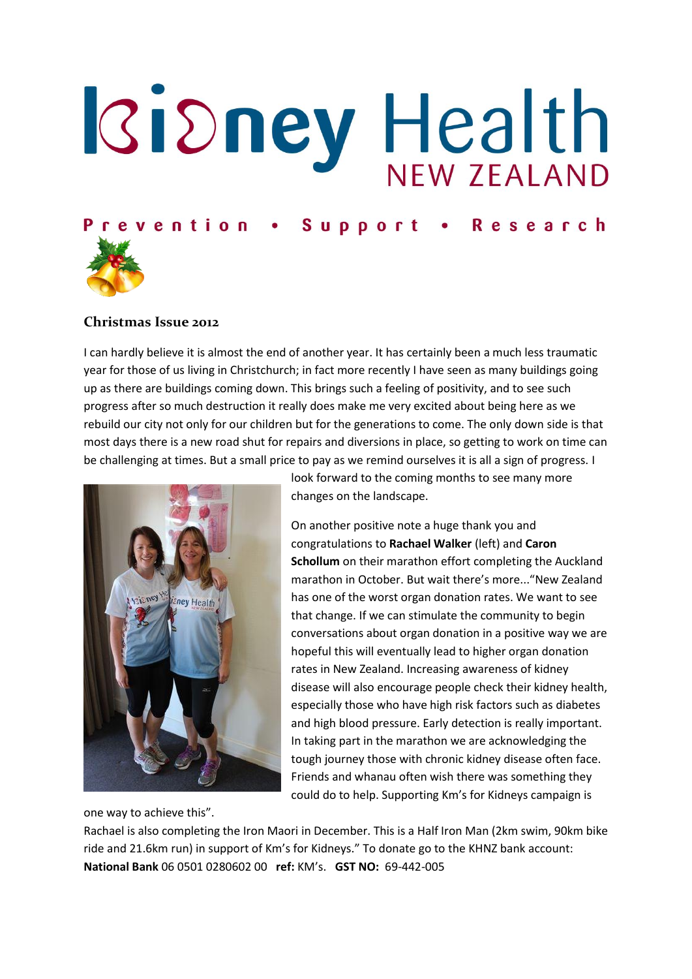# **Kidney Health**

## Prevention . Support . Research



### **Christmas Issue 2012**

I can hardly believe it is almost the end of another year. It has certainly been a much less traumatic year for those of us living in Christchurch; in fact more recently I have seen as many buildings going up as there are buildings coming down. This brings such a feeling of positivity, and to see such progress after so much destruction it really does make me very excited about being here as we rebuild our city not only for our children but for the generations to come. The only down side is that most days there is a new road shut for repairs and diversions in place, so getting to work on time can be challenging at times. But a small price to pay as we remind ourselves it is all a sign of progress. I



look forward to the coming months to see many more changes on the landscape.

On another positive note a huge thank you and congratulations to **Rachael Walker** (left) and **Caron Schollum** on their marathon effort completing the Auckland marathon in October. But wait there's more..."New Zealand has one of the worst organ donation rates. We want to see that change. If we can stimulate the community to begin conversations about organ donation in a positive way we are hopeful this will eventually lead to higher organ donation rates in New Zealand. Increasing awareness of kidney disease will also encourage people check their kidney health, especially those who have high risk factors such as diabetes and high blood pressure. Early detection is really important. In taking part in the marathon we are acknowledging the tough journey those with chronic kidney disease often face. Friends and whanau often wish there was something they could do to help. Supporting Km's for Kidneys campaign is

one way to achieve this".

Rachael is also completing the Iron Maori in December. This is a Half Iron Man (2km swim, 90km bike ride and 21.6km run) in support of Km's for Kidneys." To donate go to the KHNZ bank account: **National Bank** 06 0501 0280602 00 **ref:** KM's. **GST NO:** 69-442-005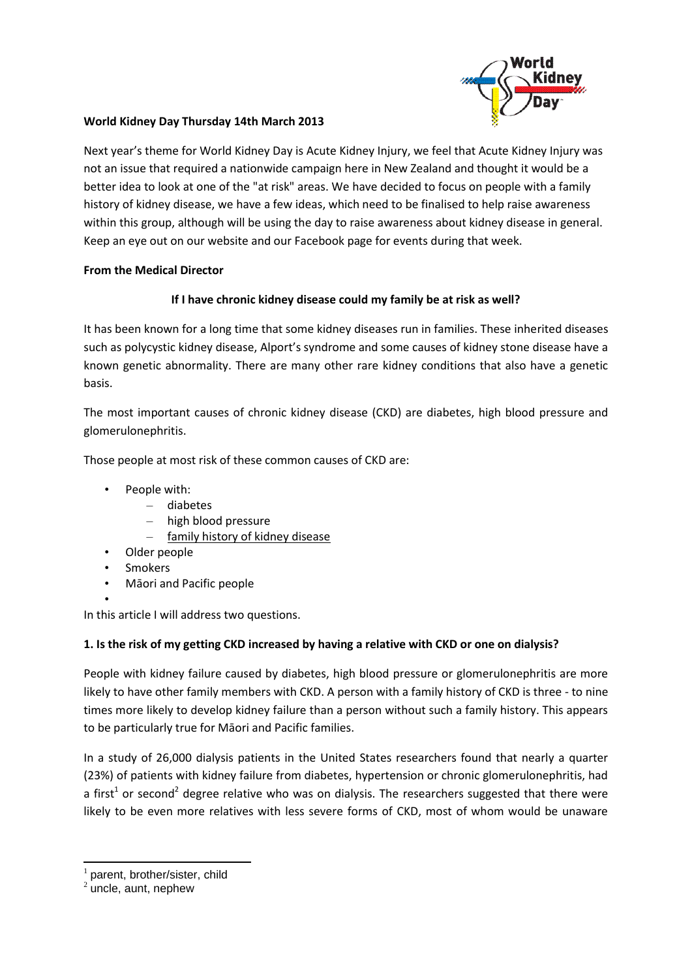

### **World Kidney Day Thursday 14th March 2013**

Next year's theme for World Kidney Day is Acute Kidney Injury, we feel that Acute Kidney Injury was not an issue that required a nationwide campaign here in New Zealand and thought it would be a better idea to look at one of the "at risk" areas. We have decided to focus on people with a family history of kidney disease, we have a few ideas, which need to be finalised to help raise awareness within this group, although will be using the day to raise awareness about kidney disease in general. Keep an eye out on our website and our Facebook page for events during that week.

### **From the Medical Director**

### **If I have chronic kidney disease could my family be at risk as well?**

It has been known for a long time that some kidney diseases run in families. These inherited diseases such as polycystic kidney disease, Alport's syndrome and some causes of kidney stone disease have a known genetic abnormality. There are many other rare kidney conditions that also have a genetic basis.

The most important causes of chronic kidney disease (CKD) are diabetes, high blood pressure and glomerulonephritis.

Those people at most risk of these common causes of CKD are:

- People with:
	- diabetes
	- high blood pressure
	- family history of kidney disease
- Older people
- **Smokers**
- Māori and Pacific people

• In this article I will address two questions.

### **1. Is the risk of my getting CKD increased by having a relative with CKD or one on dialysis?**

People with kidney failure caused by diabetes, high blood pressure or glomerulonephritis are more likely to have other family members with CKD. A person with a family history of CKD is three - to nine times more likely to develop kidney failure than a person without such a family history. This appears to be particularly true for Māori and Pacific families.

In a study of 26,000 dialysis patients in the United States researchers found that nearly a quarter (23%) of patients with kidney failure from diabetes, hypertension or chronic glomerulonephritis, had a first<sup>1</sup> or second<sup>2</sup> degree relative who was on dialysis. The researchers suggested that there were likely to be even more relatives with less severe forms of CKD, most of whom would be unaware

**.** 

<sup>1</sup> parent, brother/sister, child

 $2$  uncle, aunt, nephew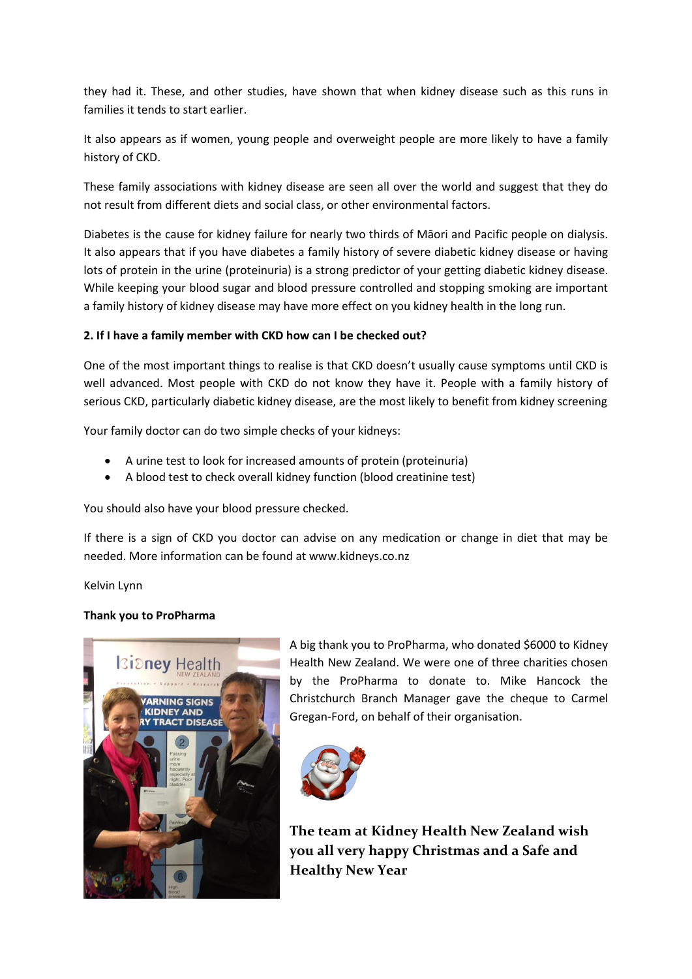they had it. These, and other studies, have shown that when kidney disease such as this runs in families it tends to start earlier.

It also appears as if women, young people and overweight people are more likely to have a family history of CKD.

These family associations with kidney disease are seen all over the world and suggest that they do not result from different diets and social class, or other environmental factors.

Diabetes is the cause for kidney failure for nearly two thirds of Māori and Pacific people on dialysis. It also appears that if you have diabetes a family history of severe diabetic kidney disease or having lots of protein in the urine (proteinuria) is a strong predictor of your getting diabetic kidney disease. While keeping your blood sugar and blood pressure controlled and stopping smoking are important a family history of kidney disease may have more effect on you kidney health in the long run.

### **2. If I have a family member with CKD how can I be checked out?**

One of the most important things to realise is that CKD doesn't usually cause symptoms until CKD is well advanced. Most people with CKD do not know they have it. People with a family history of serious CKD, particularly diabetic kidney disease, are the most likely to benefit from kidney screening

Your family doctor can do two simple checks of your kidneys:

- A urine test to look for increased amounts of protein (proteinuria)
- A blood test to check overall kidney function (blood creatinine test)

You should also have your blood pressure checked.

If there is a sign of CKD you doctor can advise on any medication or change in diet that may be needed. More information can be found at www.kidneys.co.nz

Kelvin Lynn

### **Thank you to ProPharma**



A big thank you to ProPharma, who donated \$6000 to Kidney Health New Zealand. We were one of three charities chosen by the ProPharma to donate to. Mike Hancock the Christchurch Branch Manager gave the cheque to Carmel Gregan-Ford, on behalf of their organisation.



**The team at Kidney Health New Zealand wish you all very happy Christmas and a Safe and Healthy New Year**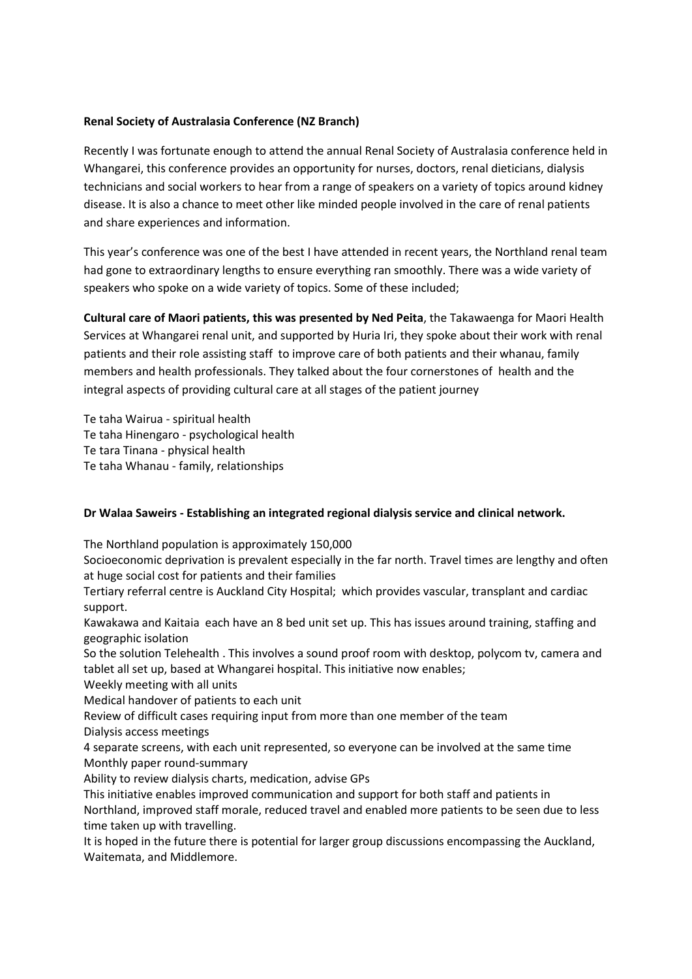### **Renal Society of Australasia Conference (NZ Branch)**

Recently I was fortunate enough to attend the annual Renal Society of Australasia conference held in Whangarei, this conference provides an opportunity for nurses, doctors, renal dieticians, dialysis technicians and social workers to hear from a range of speakers on a variety of topics around kidney disease. It is also a chance to meet other like minded people involved in the care of renal patients and share experiences and information.

This year's conference was one of the best I have attended in recent years, the Northland renal team had gone to extraordinary lengths to ensure everything ran smoothly. There was a wide variety of speakers who spoke on a wide variety of topics. Some of these included;

**Cultural care of Maori patients, this was presented by Ned Peita**, the Takawaenga for Maori Health Services at Whangarei renal unit, and supported by Huria Iri, they spoke about their work with renal patients and their role assisting staff to improve care of both patients and their whanau, family members and health professionals. They talked about the four cornerstones of health and the integral aspects of providing cultural care at all stages of the patient journey

Te taha Wairua - spiritual health Te taha Hinengaro - psychological health Te tara Tinana - physical health Te taha Whanau - family, relationships

### **Dr Walaa Saweirs - Establishing an integrated regional dialysis service and clinical network.**

The Northland population is approximately 150,000

Socioeconomic deprivation is prevalent especially in the far north. Travel times are lengthy and often at huge social cost for patients and their families

Tertiary referral centre is Auckland City Hospital; which provides vascular, transplant and cardiac support.

Kawakawa and Kaitaia each have an 8 bed unit set up. This has issues around training, staffing and geographic isolation

So the solution Telehealth . This involves a sound proof room with desktop, polycom tv, camera and tablet all set up, based at Whangarei hospital. This initiative now enables;

Weekly meeting with all units

Medical handover of patients to each unit

Review of difficult cases requiring input from more than one member of the team

Dialysis access meetings

4 separate screens, with each unit represented, so everyone can be involved at the same time Monthly paper round-summary

Ability to review dialysis charts, medication, advise GPs

This initiative enables improved communication and support for both staff and patients in Northland, improved staff morale, reduced travel and enabled more patients to be seen due to less time taken up with travelling.

It is hoped in the future there is potential for larger group discussions encompassing the Auckland, Waitemata, and Middlemore.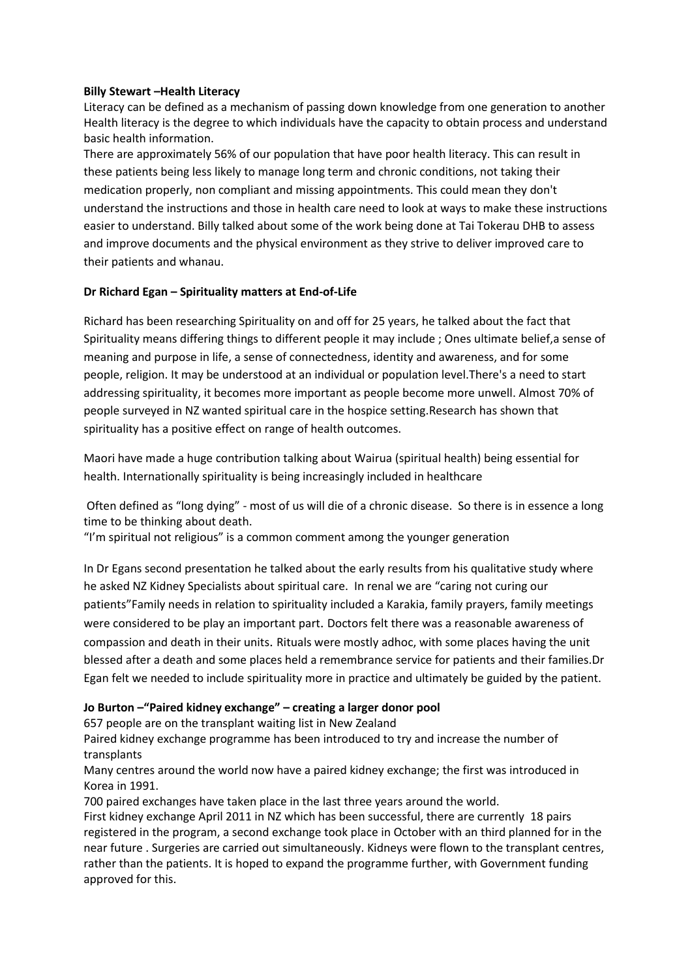### **Billy Stewart –Health Literacy**

Literacy can be defined as a mechanism of passing down knowledge from one generation to another Health literacy is the degree to which individuals have the capacity to obtain process and understand basic health information.

There are approximately 56% of our population that have poor health literacy. This can result in these patients being less likely to manage long term and chronic conditions, not taking their medication properly, non compliant and missing appointments. This could mean they don't understand the instructions and those in health care need to look at ways to make these instructions easier to understand. Billy talked about some of the work being done at Tai Tokerau DHB to assess and improve documents and the physical environment as they strive to deliver improved care to their patients and whanau.

### **Dr Richard Egan – Spirituality matters at End-of-Life**

Richard has been researching Spirituality on and off for 25 years, he talked about the fact that Spirituality means differing things to different people it may include ; Ones ultimate belief,a sense of meaning and purpose in life, a sense of connectedness, identity and awareness, and for some people, religion. It may be understood at an individual or population level.There's a need to start addressing spirituality, it becomes more important as people become more unwell. Almost 70% of people surveyed in NZ wanted spiritual care in the hospice setting.Research has shown that spirituality has a positive effect on range of health outcomes.

Maori have made a huge contribution talking about Wairua (spiritual health) being essential for health. Internationally spirituality is being increasingly included in healthcare

Often defined as "long dying" - most of us will die of a chronic disease. So there is in essence a long time to be thinking about death.

"I'm spiritual not religious" is a common comment among the younger generation

In Dr Egans second presentation he talked about the early results from his qualitative study where he asked NZ Kidney Specialists about spiritual care. In renal we are "caring not curing our patients"Family needs in relation to spirituality included a Karakia, family prayers, family meetings were considered to be play an important part. Doctors felt there was a reasonable awareness of compassion and death in their units. Rituals were mostly adhoc, with some places having the unit blessed after a death and some places held a remembrance service for patients and their families.Dr Egan felt we needed to include spirituality more in practice and ultimately be guided by the patient.

### **Jo Burton –"Paired kidney exchange" – creating a larger donor pool**

657 people are on the transplant waiting list in New Zealand

Paired kidney exchange programme has been introduced to try and increase the number of transplants

Many centres around the world now have a paired kidney exchange; the first was introduced in Korea in 1991.

700 paired exchanges have taken place in the last three years around the world.

First kidney exchange April 2011 in NZ which has been successful, there are currently 18 pairs registered in the program, a second exchange took place in October with an third planned for in the near future . Surgeries are carried out simultaneously. Kidneys were flown to the transplant centres, rather than the patients. It is hoped to expand the programme further, with Government funding approved for this.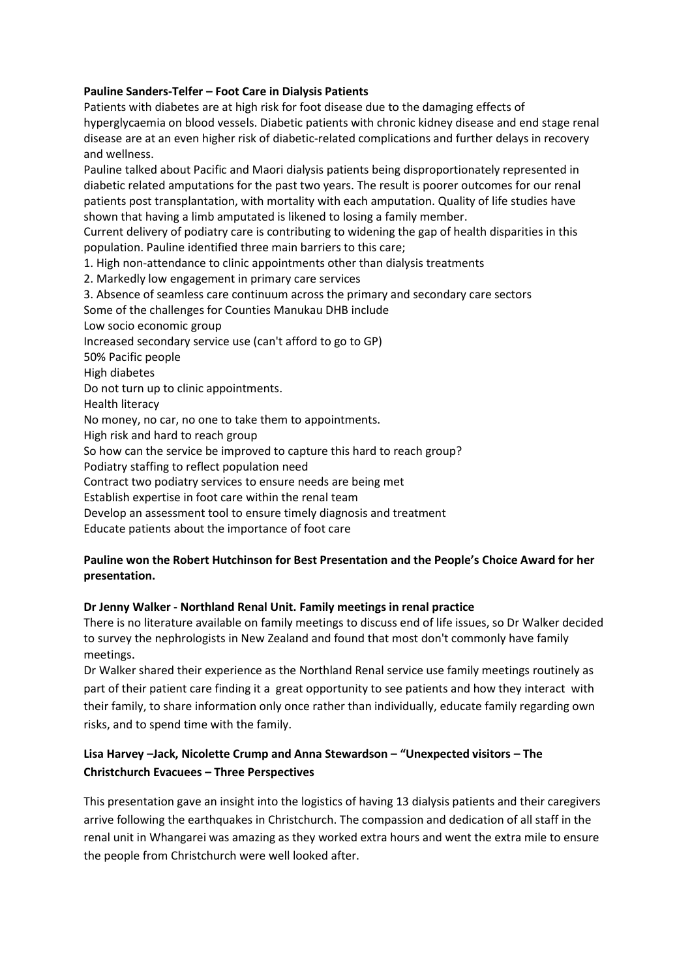### **Pauline Sanders-Telfer – Foot Care in Dialysis Patients**

Patients with diabetes are at high risk for foot disease due to the damaging effects of hyperglycaemia on blood vessels. Diabetic patients with chronic kidney disease and end stage renal disease are at an even higher risk of diabetic-related complications and further delays in recovery and wellness.

Pauline talked about Pacific and Maori dialysis patients being disproportionately represented in diabetic related amputations for the past two years. The result is poorer outcomes for our renal patients post transplantation, with mortality with each amputation. Quality of life studies have shown that having a limb amputated is likened to losing a family member.

Current delivery of podiatry care is contributing to widening the gap of health disparities in this population. Pauline identified three main barriers to this care;

1. High non-attendance to clinic appointments other than dialysis treatments

2. Markedly low engagement in primary care services

3. Absence of seamless care continuum across the primary and secondary care sectors Some of the challenges for Counties Manukau DHB include

Low socio economic group

Increased secondary service use (can't afford to go to GP)

50% Pacific people

High diabetes

Do not turn up to clinic appointments.

Health literacy

No money, no car, no one to take them to appointments.

High risk and hard to reach group

So how can the service be improved to capture this hard to reach group?

Podiatry staffing to reflect population need

Contract two podiatry services to ensure needs are being met

Establish expertise in foot care within the renal team

Develop an assessment tool to ensure timely diagnosis and treatment

Educate patients about the importance of foot care

### **Pauline won the Robert Hutchinson for Best Presentation and the People's Choice Award for her presentation.**

### **Dr Jenny Walker - Northland Renal Unit. Family meetings in renal practice**

There is no literature available on family meetings to discuss end of life issues, so Dr Walker decided to survey the nephrologists in New Zealand and found that most don't commonly have family meetings.

Dr Walker shared their experience as the Northland Renal service use family meetings routinely as part of their patient care finding it a great opportunity to see patients and how they interact with their family, to share information only once rather than individually, educate family regarding own risks, and to spend time with the family.

### **Lisa Harvey –Jack, Nicolette Crump and Anna Stewardson – "Unexpected visitors – The Christchurch Evacuees – Three Perspectives**

This presentation gave an insight into the logistics of having 13 dialysis patients and their caregivers arrive following the earthquakes in Christchurch. The compassion and dedication of all staff in the renal unit in Whangarei was amazing as they worked extra hours and went the extra mile to ensure the people from Christchurch were well looked after.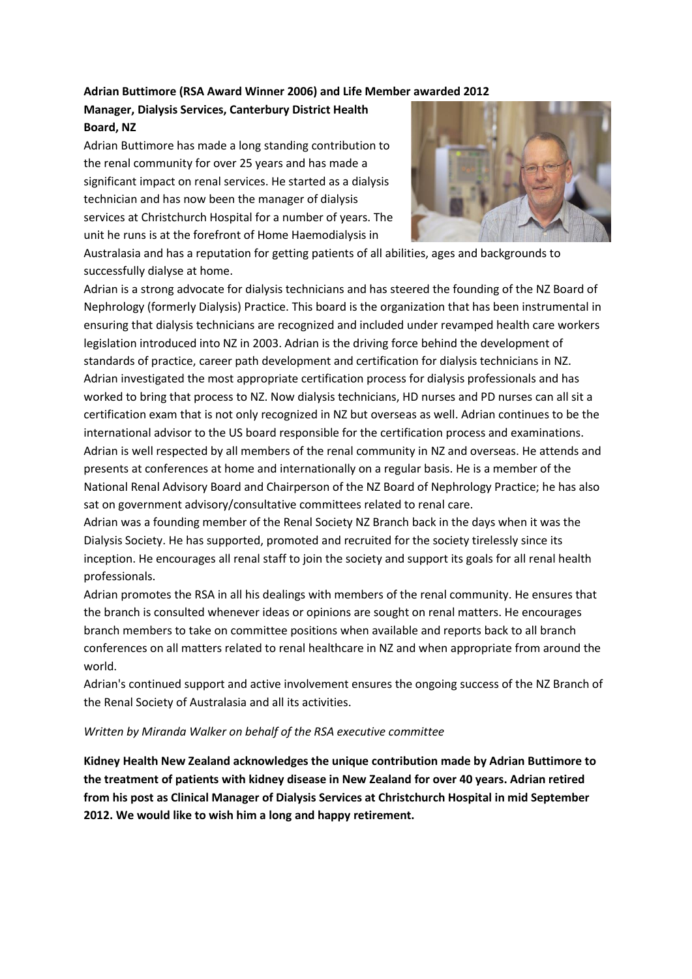### **Adrian Buttimore (RSA Award Winner 2006) and Life Member awarded 2012**

### **Manager, Dialysis Services, Canterbury District Health Board, NZ**

Adrian Buttimore has made a long standing contribution to the renal community for over 25 years and has made a significant impact on renal services. He started as a dialysis technician and has now been the manager of dialysis services at Christchurch Hospital for a number of years. The unit he runs is at the forefront of Home Haemodialysis in



Australasia and has a reputation for getting patients of all abilities, ages and backgrounds to successfully dialyse at home.

Adrian is a strong advocate for dialysis technicians and has steered the founding of the NZ Board of Nephrology (formerly Dialysis) Practice. This board is the organization that has been instrumental in ensuring that dialysis technicians are recognized and included under revamped health care workers legislation introduced into NZ in 2003. Adrian is the driving force behind the development of standards of practice, career path development and certification for dialysis technicians in NZ. Adrian investigated the most appropriate certification process for dialysis professionals and has worked to bring that process to NZ. Now dialysis technicians, HD nurses and PD nurses can all sit a certification exam that is not only recognized in NZ but overseas as well. Adrian continues to be the international advisor to the US board responsible for the certification process and examinations. Adrian is well respected by all members of the renal community in NZ and overseas. He attends and presents at conferences at home and internationally on a regular basis. He is a member of the National Renal Advisory Board and Chairperson of the NZ Board of Nephrology Practice; he has also sat on government advisory/consultative committees related to renal care.

Adrian was a founding member of the Renal Society NZ Branch back in the days when it was the Dialysis Society. He has supported, promoted and recruited for the society tirelessly since its inception. He encourages all renal staff to join the society and support its goals for all renal health professionals.

Adrian promotes the RSA in all his dealings with members of the renal community. He ensures that the branch is consulted whenever ideas or opinions are sought on renal matters. He encourages branch members to take on committee positions when available and reports back to all branch conferences on all matters related to renal healthcare in NZ and when appropriate from around the world.

Adrian's continued support and active involvement ensures the ongoing success of the NZ Branch of the Renal Society of Australasia and all its activities.

### *Written by Miranda Walker on behalf of the RSA executive committee*

**Kidney Health New Zealand acknowledges the unique contribution made by Adrian Buttimore to the treatment of patients with kidney disease in New Zealand for over 40 years. Adrian retired from his post as Clinical Manager of Dialysis Services at Christchurch Hospital in mid September 2012. We would like to wish him a long and happy retirement.**